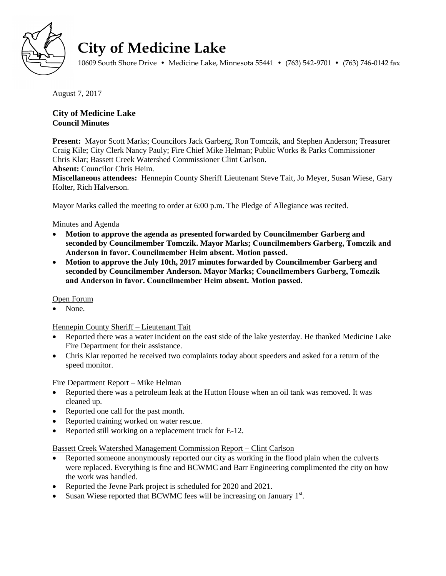

# **City of Medicine Lake**

10609 South Shore Drive • Medicine Lake, Minnesota 55441 • (763) 542-9701 • (763) 746-0142 fax

August 7, 2017

# **City of Medicine Lake Council Minutes**

**Present:** Mayor Scott Marks; Councilors Jack Garberg, Ron Tomczik, and Stephen Anderson; Treasurer Craig Kile; City Clerk Nancy Pauly; Fire Chief Mike Helman; Public Works & Parks Commissioner Chris Klar; Bassett Creek Watershed Commissioner Clint Carlson.

**Absent:** Councilor Chris Heim.

**Miscellaneous attendees:** Hennepin County Sheriff Lieutenant Steve Tait, Jo Meyer, Susan Wiese, Gary Holter, Rich Halverson.

Mayor Marks called the meeting to order at 6:00 p.m. The Pledge of Allegiance was recited.

# Minutes and Agenda

- **Motion to approve the agenda as presented forwarded by Councilmember Garberg and seconded by Councilmember Tomczik. Mayor Marks; Councilmembers Garberg, Tomczik and Anderson in favor. Councilmember Heim absent. Motion passed.**
- **Motion to approve the July 10th, 2017 minutes forwarded by Councilmember Garberg and seconded by Councilmember Anderson. Mayor Marks; Councilmembers Garberg, Tomczik and Anderson in favor. Councilmember Heim absent. Motion passed.**

## Open Forum

None.

## Hennepin County Sheriff – Lieutenant Tait

- Reported there was a water incident on the east side of the lake yesterday. He thanked Medicine Lake Fire Department for their assistance.
- Chris Klar reported he received two complaints today about speeders and asked for a return of the speed monitor.

## Fire Department Report – Mike Helman

- Reported there was a petroleum leak at the Hutton House when an oil tank was removed. It was cleaned up.
- Reported one call for the past month.
- Reported training worked on water rescue.
- Reported still working on a replacement truck for E-12.

## Bassett Creek Watershed Management Commission Report – Clint Carlson

- Reported someone anonymously reported our city as working in the flood plain when the culverts were replaced. Everything is fine and BCWMC and Barr Engineering complimented the city on how the work was handled.
- Reported the Jevne Park project is scheduled for 2020 and 2021.
- Susan Wiese reported that BCWMC fees will be increasing on January  $1<sup>st</sup>$ .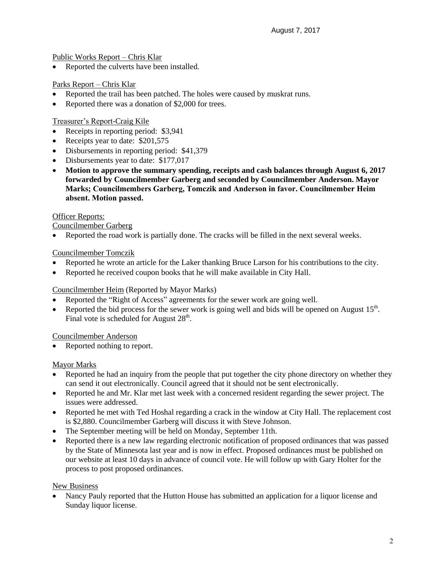Public Works Report – Chris Klar

• Reported the culverts have been installed.

# Parks Report – Chris Klar

- Reported the trail has been patched. The holes were caused by muskrat runs.
- Reported there was a donation of \$2,000 for trees.

## Treasurer's Report-Craig Kile

- Receipts in reporting period: \$3,941
- Receipts year to date: \$201,575
- Disbursements in reporting period: \$41,379
- Disbursements year to date: \$177,017
- **Motion to approve the summary spending, receipts and cash balances through August 6, 2017 forwarded by Councilmember Garberg and seconded by Councilmember Anderson. Mayor Marks; Councilmembers Garberg, Tomczik and Anderson in favor. Councilmember Heim absent. Motion passed.**

## Officer Reports:

Councilmember Garberg

Reported the road work is partially done. The cracks will be filled in the next several weeks.

# Councilmember Tomczik

- Reported he wrote an article for the Laker thanking Bruce Larson for his contributions to the city.
- Reported he received coupon books that he will make available in City Hall.

# Councilmember Heim (Reported by Mayor Marks)

- Reported the "Right of Access" agreements for the sewer work are going well.
- Reported the bid process for the sewer work is going well and bids will be opened on August  $15^{th}$ . Final vote is scheduled for August  $28<sup>th</sup>$ .

# Councilmember Anderson

• Reported nothing to report.

## Mayor Marks

- Reported he had an inquiry from the people that put together the city phone directory on whether they can send it out electronically. Council agreed that it should not be sent electronically.
- Reported he and Mr. Klar met last week with a concerned resident regarding the sewer project. The issues were addressed.
- Reported he met with Ted Hoshal regarding a crack in the window at City Hall. The replacement cost is \$2,880. Councilmember Garberg will discuss it with Steve Johnson.
- The September meeting will be held on Monday, September 11th.
- Reported there is a new law regarding electronic notification of proposed ordinances that was passed by the State of Minnesota last year and is now in effect. Proposed ordinances must be published on our website at least 10 days in advance of council vote. He will follow up with Gary Holter for the process to post proposed ordinances.

## New Business

 Nancy Pauly reported that the Hutton House has submitted an application for a liquor license and Sunday liquor license.